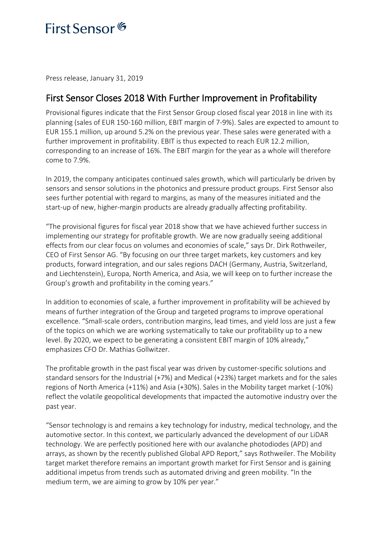## First Sensor<sup>6</sup>

Press release, January 31, 2019

### First Sensor Closes 2018 With Further Improvement in Profitability

Provisional figures indicate that the First Sensor Group closed fiscal year 2018 in line with its planning (sales of EUR 150-160 million, EBIT margin of 7-9%). Sales are expected to amount to EUR 155.1 million, up around 5.2% on the previous year. These sales were generated with a further improvement in profitability. EBIT is thus expected to reach EUR 12.2 million, corresponding to an increase of 16%. The EBIT margin for the year as a whole will therefore come to 7.9%.

In 2019, the company anticipates continued sales growth, which will particularly be driven by sensors and sensor solutions in the photonics and pressure product groups. First Sensor also sees further potential with regard to margins, as many of the measures initiated and the start-up of new, higher-margin products are already gradually affecting profitability.

"The provisional figures for fiscal year 2018 show that we have achieved further success in implementing our strategy for profitable growth. We are now gradually seeing additional effects from our clear focus on volumes and economies of scale," says Dr. Dirk Rothweiler, CEO of First Sensor AG. "By focusing on our three target markets, key customers and key products, forward integration, and our sales regions DACH (Germany, Austria, Switzerland, and Liechtenstein), Europa, North America, and Asia, we will keep on to further increase the Group's growth and profitability in the coming years."

In addition to economies of scale, a further improvement in profitability will be achieved by means of further integration of the Group and targeted programs to improve operational excellence. "Small-scale orders, contribution margins, lead times, and yield loss are just a few of the topics on which we are working systematically to take our profitability up to a new level. By 2020, we expect to be generating a consistent EBIT margin of 10% already," emphasizes CFO Dr. Mathias Gollwitzer.

The profitable growth in the past fiscal year was driven by customer-specific solutions and standard sensors for the Industrial (+7%) and Medical (+23%) target markets and for the sales regions of North America (+11%) and Asia (+30%). Sales in the Mobility target market (-10%) reflect the volatile geopolitical developments that impacted the automotive industry over the past year.

"Sensor technology is and remains a key technology for industry, medical technology, and the automotive sector. In this context, we particularly advanced the development of our LiDAR technology. We are perfectly positioned here with our avalanche photodiodes (APD) and arrays, as shown by the recently published Global APD Report," says Rothweiler. The Mobility target market therefore remains an important growth market for First Sensor and is gaining additional impetus from trends such as automated driving and green mobility. "In the medium term, we are aiming to grow by 10% per year."